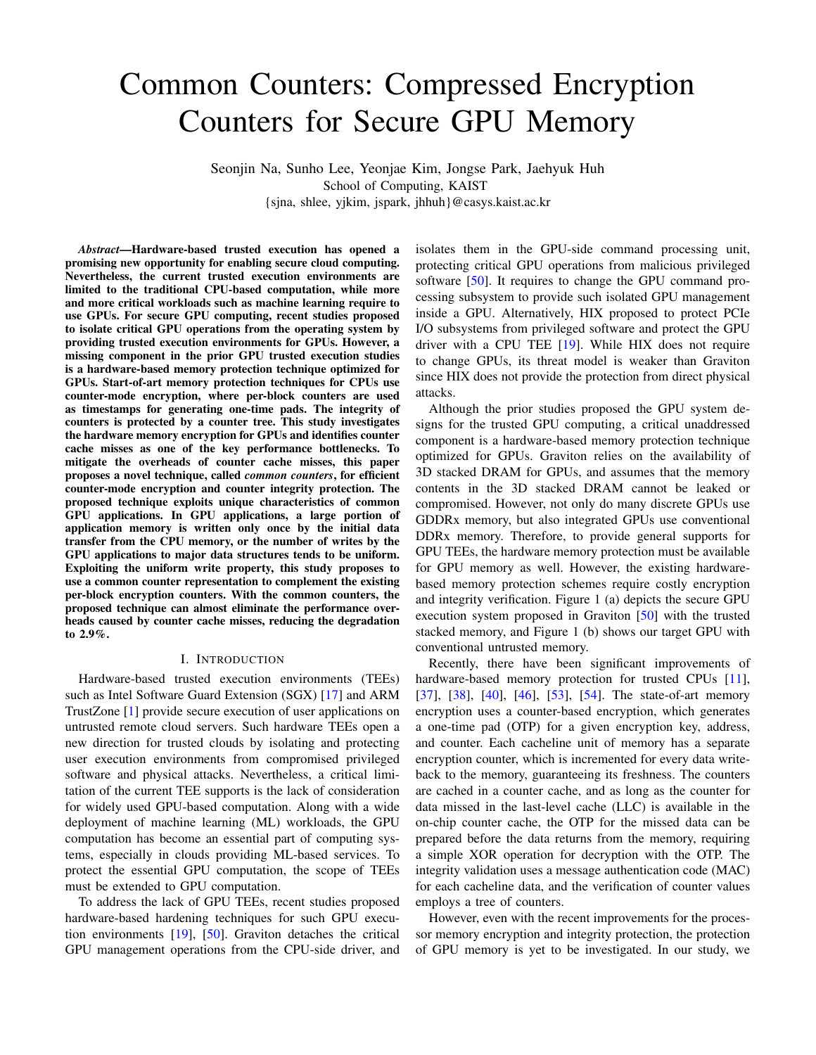# Common Counters: Compressed Encryption Counters for Secure GPU Memory

Seonjin Na, Sunho Lee, Yeonjae Kim, Jongse Park, Jaehyuk Huh School of Computing, KAIST {sjna, shlee, yjkim, jspark, jhhuh}@casys.kaist.ac.kr

*Abstract*—Hardware-based trusted execution has opened a promising new opportunity for enabling secure cloud computing. Nevertheless, the current trusted execution environments are limited to the traditional CPU-based computation, while more and more critical workloads such as machine learning require to use GPUs. For secure GPU computing, recent studies proposed to isolate critical GPU operations from the operating system by providing trusted execution environments for GPUs. However, a missing component in the prior GPU trusted execution studies is a hardware-based memory protection technique optimized for GPUs. Start-of-art memory protection techniques for CPUs use counter-mode encryption, where per-block counters are used as timestamps for generating one-time pads. The integrity of counters is protected by a counter tree. This study investigates the hardware memory encryption for GPUs and identifies counter cache misses as one of the key performance bottlenecks. To mitigate the overheads of counter cache misses, this paper proposes a novel technique, called *common counters*, for efficient counter-mode encryption and counter integrity protection. The proposed technique exploits unique characteristics of common GPU applications. In GPU applications, a large portion of application memory is written only once by the initial data transfer from the CPU memory, or the number of writes by the GPU applications to major data structures tends to be uniform. Exploiting the uniform write property, this study proposes to use a common counter representation to complement the existing per-block encryption counters. With the common counters, the proposed technique can almost eliminate the performance overheads caused by counter cache misses, reducing the degradation to 2.9%.

#### I. INTRODUCTION

Hardware-based trusted execution environments (TEEs) such as Intel Software Guard Extension (SGX) [17] and ARM TrustZone [1] provide secure execution of user applications on untrusted remote cloud servers. Such hardware TEEs open a new direction for trusted clouds by isolating and protecting user execution environments from compromised privileged software and physical attacks. Nevertheless, a critical limitation of the current TEE supports is the lack of consideration for widely used GPU-based computation. Along with a wide deployment of machine learning (ML) workloads, the GPU computation has become an essential part of computing systems, especially in clouds providing ML-based services. To protect the essential GPU computation, the scope of TEEs must be extended to GPU computation.

To address the lack of GPU TEEs, recent studies proposed hardware-based hardening techniques for such GPU execution environments [19], [50]. Graviton detaches the critical GPU management operations from the CPU-side driver, and isolates them in the GPU-side command processing unit, protecting critical GPU operations from malicious privileged software [50]. It requires to change the GPU command processing subsystem to provide such isolated GPU management inside a GPU. Alternatively, HIX proposed to protect PCIe I/O subsystems from privileged software and protect the GPU driver with a CPU TEE [19]. While HIX does not require to change GPUs, its threat model is weaker than Graviton since HIX does not provide the protection from direct physical attacks.

Although the prior studies proposed the GPU system designs for the trusted GPU computing, a critical unaddressed component is a hardware-based memory protection technique optimized for GPUs. Graviton relies on the availability of 3D stacked DRAM for GPUs, and assumes that the memory contents in the 3D stacked DRAM cannot be leaked or compromised. However, not only do many discrete GPUs use GDDRx memory, but also integrated GPUs use conventional DDRx memory. Therefore, to provide general supports for GPU TEEs, the hardware memory protection must be available for GPU memory as well. However, the existing hardwarebased memory protection schemes require costly encryption and integrity verification. Figure 1 (a) depicts the secure GPU execution system proposed in Graviton [50] with the trusted stacked memory, and Figure 1 (b) shows our target GPU with conventional untrusted memory.

Recently, there have been significant improvements of hardware-based memory protection for trusted CPUs [11], [37], [38], [40], [46], [53], [54]. The state-of-art memory encryption uses a counter-based encryption, which generates a one-time pad (OTP) for a given encryption key, address, and counter. Each cacheline unit of memory has a separate encryption counter, which is incremented for every data writeback to the memory, guaranteeing its freshness. The counters are cached in a counter cache, and as long as the counter for data missed in the last-level cache (LLC) is available in the on-chip counter cache, the OTP for the missed data can be prepared before the data returns from the memory, requiring a simple XOR operation for decryption with the OTP. The integrity validation uses a message authentication code (MAC) for each cacheline data, and the verification of counter values employs a tree of counters.

However, even with the recent improvements for the processor memory encryption and integrity protection, the protection of GPU memory is yet to be investigated. In our study, we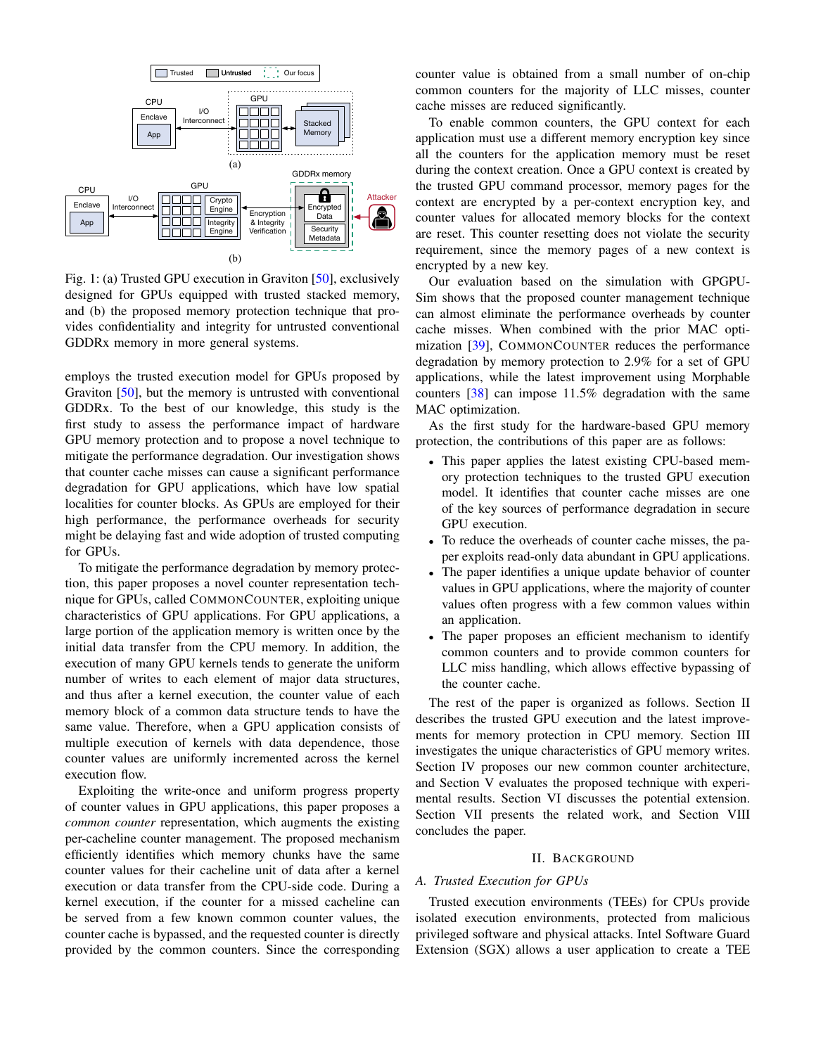

Fig. 1: (a) Trusted GPU execution in Graviton [50], exclusively designed for GPUs equipped with trusted stacked memory, and (b) the proposed memory protection technique that provides confidentiality and integrity for untrusted conventional GDDRx memory in more general systems.

employs the trusted execution model for GPUs proposed by Graviton [50], but the memory is untrusted with conventional GDDRx. To the best of our knowledge, this study is the first study to assess the performance impact of hardware GPU memory protection and to propose a novel technique to mitigate the performance degradation. Our investigation shows that counter cache misses can cause a significant performance degradation for GPU applications, which have low spatial localities for counter blocks. As GPUs are employed for their high performance, the performance overheads for security might be delaying fast and wide adoption of trusted computing for GPUs.

To mitigate the performance degradation by memory protection, this paper proposes a novel counter representation technique for GPUs, called COMMONCOUNTER, exploiting unique characteristics of GPU applications. For GPU applications, a large portion of the application memory is written once by the initial data transfer from the CPU memory. In addition, the execution of many GPU kernels tends to generate the uniform number of writes to each element of major data structures, and thus after a kernel execution, the counter value of each memory block of a common data structure tends to have the same value. Therefore, when a GPU application consists of multiple execution of kernels with data dependence, those counter values are uniformly incremented across the kernel execution flow.

Exploiting the write-once and uniform progress property of counter values in GPU applications, this paper proposes a *common counter* representation, which augments the existing per-cacheline counter management. The proposed mechanism efficiently identifies which memory chunks have the same counter values for their cacheline unit of data after a kernel execution or data transfer from the CPU-side code. During a kernel execution, if the counter for a missed cacheline can be served from a few known common counter values, the counter cache is bypassed, and the requested counter is directly provided by the common counters. Since the corresponding

counter value is obtained from a small number of on-chip common counters for the majority of LLC misses, counter cache misses are reduced significantly.

To enable common counters, the GPU context for each application must use a different memory encryption key since all the counters for the application memory must be reset during the context creation. Once a GPU context is created by the trusted GPU command processor, memory pages for the context are encrypted by a per-context encryption key, and counter values for allocated memory blocks for the context are reset. This counter resetting does not violate the security requirement, since the memory pages of a new context is encrypted by a new key.

Our evaluation based on the simulation with GPGPU-Sim shows that the proposed counter management technique can almost eliminate the performance overheads by counter cache misses. When combined with the prior MAC optimization [39], COMMONCOUNTER reduces the performance degradation by memory protection to 2.9% for a set of GPU applications, while the latest improvement using Morphable counters [38] can impose 11.5% degradation with the same MAC optimization.

As the first study for the hardware-based GPU memory protection, the contributions of this paper are as follows:

- This paper applies the latest existing CPU-based memory protection techniques to the trusted GPU execution model. It identifies that counter cache misses are one of the key sources of performance degradation in secure GPU execution.
- To reduce the overheads of counter cache misses, the paper exploits read-only data abundant in GPU applications.
- The paper identifies a unique update behavior of counter values in GPU applications, where the majority of counter values often progress with a few common values within an application.
- The paper proposes an efficient mechanism to identify common counters and to provide common counters for LLC miss handling, which allows effective bypassing of the counter cache.

The rest of the paper is organized as follows. Section II describes the trusted GPU execution and the latest improvements for memory protection in CPU memory. Section III investigates the unique characteristics of GPU memory writes. Section IV proposes our new common counter architecture, and Section V evaluates the proposed technique with experimental results. Section VI discusses the potential extension. Section VII presents the related work, and Section VIII concludes the paper.

# II. BACKGROUND

# *A. Trusted Execution for GPUs*

Trusted execution environments (TEEs) for CPUs provide isolated execution environments, protected from malicious privileged software and physical attacks. Intel Software Guard Extension (SGX) allows a user application to create a TEE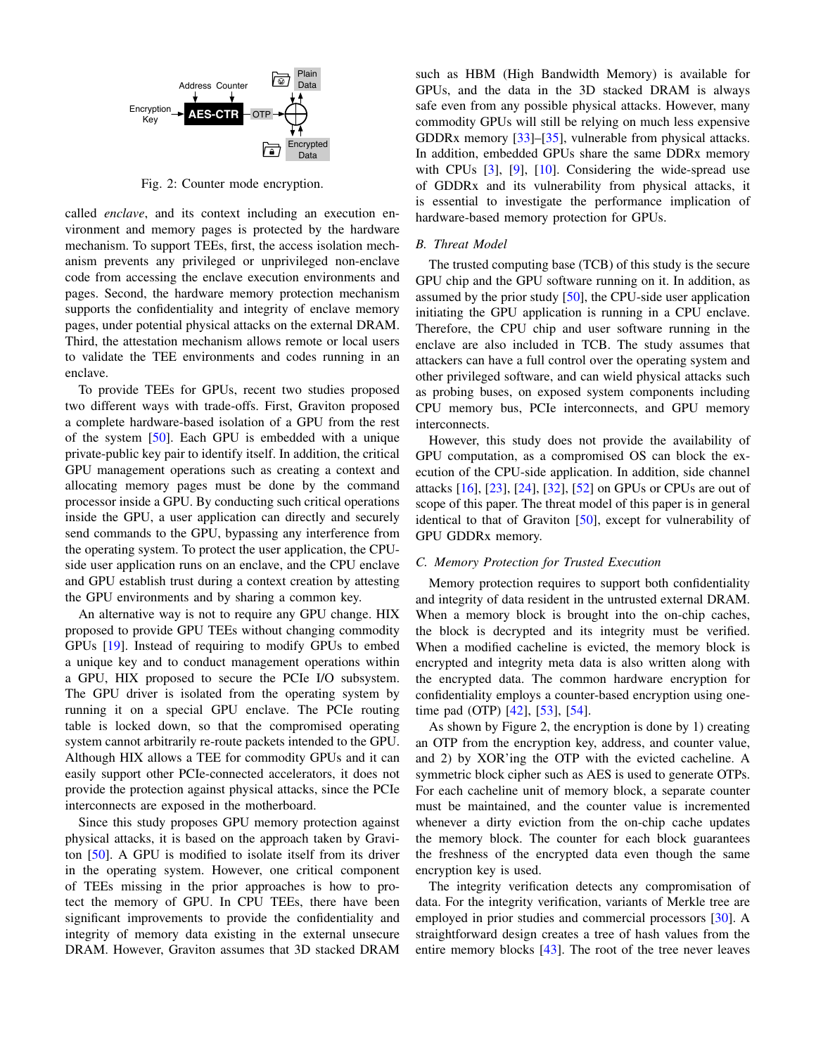

Fig. 2: Counter mode encryption.

called *enclave*, and its context including an execution environment and memory pages is protected by the hardware mechanism. To support TEEs, first, the access isolation mechanism prevents any privileged or unprivileged non-enclave code from accessing the enclave execution environments and pages. Second, the hardware memory protection mechanism supports the confidentiality and integrity of enclave memory pages, under potential physical attacks on the external DRAM. Third, the attestation mechanism allows remote or local users to validate the TEE environments and codes running in an enclave.

To provide TEEs for GPUs, recent two studies proposed two different ways with trade-offs. First, Graviton proposed a complete hardware-based isolation of a GPU from the rest of the system [50]. Each GPU is embedded with a unique private-public key pair to identify itself. In addition, the critical GPU management operations such as creating a context and allocating memory pages must be done by the command processor inside a GPU. By conducting such critical operations inside the GPU, a user application can directly and securely send commands to the GPU, bypassing any interference from the operating system. To protect the user application, the CPUside user application runs on an enclave, and the CPU enclave and GPU establish trust during a context creation by attesting the GPU environments and by sharing a common key.

An alternative way is not to require any GPU change. HIX proposed to provide GPU TEEs without changing commodity GPUs [19]. Instead of requiring to modify GPUs to embed a unique key and to conduct management operations within a GPU, HIX proposed to secure the PCIe I/O subsystem. The GPU driver is isolated from the operating system by running it on a special GPU enclave. The PCIe routing table is locked down, so that the compromised operating system cannot arbitrarily re-route packets intended to the GPU. Although HIX allows a TEE for commodity GPUs and it can easily support other PCIe-connected accelerators, it does not provide the protection against physical attacks, since the PCIe interconnects are exposed in the motherboard.

Since this study proposes GPU memory protection against physical attacks, it is based on the approach taken by Graviton [50]. A GPU is modified to isolate itself from its driver in the operating system. However, one critical component of TEEs missing in the prior approaches is how to protect the memory of GPU. In CPU TEEs, there have been significant improvements to provide the confidentiality and integrity of memory data existing in the external unsecure DRAM. However, Graviton assumes that 3D stacked DRAM such as HBM (High Bandwidth Memory) is available for GPUs, and the data in the 3D stacked DRAM is always safe even from any possible physical attacks. However, many commodity GPUs will still be relying on much less expensive GDDRx memory [33]–[35], vulnerable from physical attacks. In addition, embedded GPUs share the same DDRx memory with CPUs [3], [9], [10]. Considering the wide-spread use of GDDRx and its vulnerability from physical attacks, it is essential to investigate the performance implication of hardware-based memory protection for GPUs.

## *B. Threat Model*

The trusted computing base (TCB) of this study is the secure GPU chip and the GPU software running on it. In addition, as assumed by the prior study [50], the CPU-side user application initiating the GPU application is running in a CPU enclave. Therefore, the CPU chip and user software running in the enclave are also included in TCB. The study assumes that attackers can have a full control over the operating system and other privileged software, and can wield physical attacks such as probing buses, on exposed system components including CPU memory bus, PCIe interconnects, and GPU memory interconnects.

However, this study does not provide the availability of GPU computation, as a compromised OS can block the execution of the CPU-side application. In addition, side channel attacks [16], [23], [24], [32], [52] on GPUs or CPUs are out of scope of this paper. The threat model of this paper is in general identical to that of Graviton [50], except for vulnerability of GPU GDDRx memory.

## *C. Memory Protection for Trusted Execution*

Memory protection requires to support both confidentiality and integrity of data resident in the untrusted external DRAM. When a memory block is brought into the on-chip caches, the block is decrypted and its integrity must be verified. When a modified cacheline is evicted, the memory block is encrypted and integrity meta data is also written along with the encrypted data. The common hardware encryption for confidentiality employs a counter-based encryption using onetime pad (OTP) [42], [53], [54].

As shown by Figure 2, the encryption is done by 1) creating an OTP from the encryption key, address, and counter value, and 2) by XOR'ing the OTP with the evicted cacheline. A symmetric block cipher such as AES is used to generate OTPs. For each cacheline unit of memory block, a separate counter must be maintained, and the counter value is incremented whenever a dirty eviction from the on-chip cache updates the memory block. The counter for each block guarantees the freshness of the encrypted data even though the same encryption key is used.

The integrity verification detects any compromisation of data. For the integrity verification, variants of Merkle tree are employed in prior studies and commercial processors [30]. A straightforward design creates a tree of hash values from the entire memory blocks [43]. The root of the tree never leaves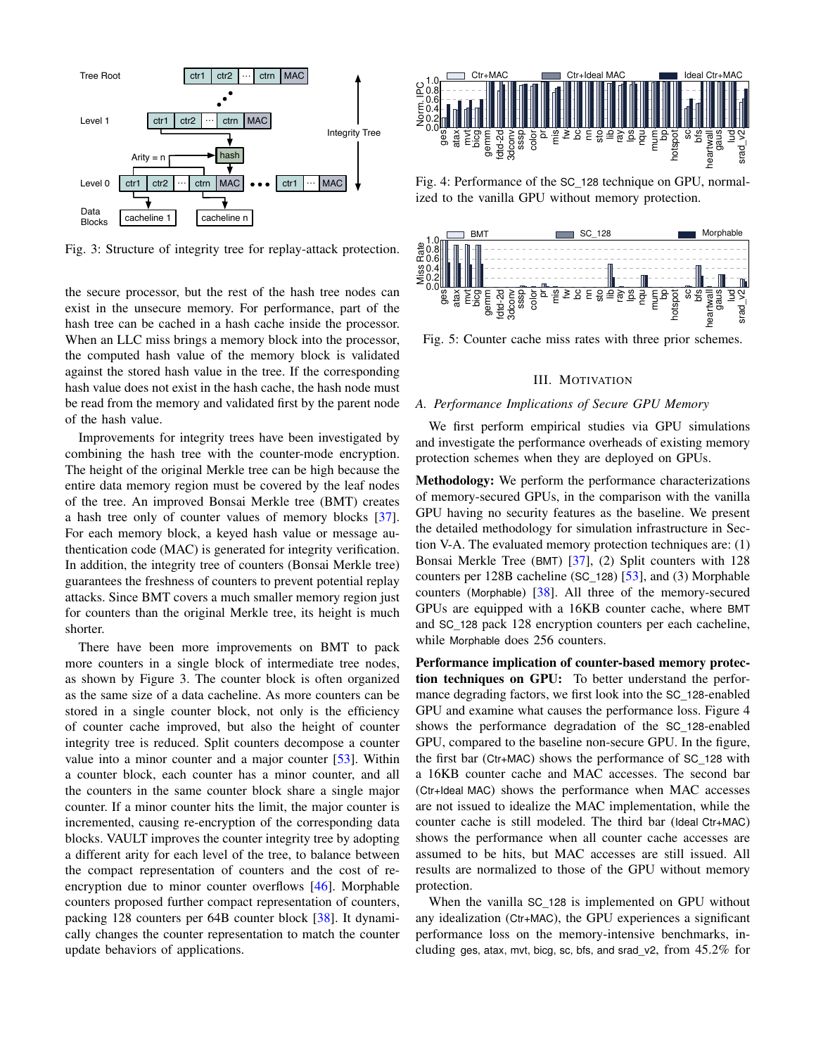

Fig. 3: Structure of integrity tree for replay-attack protection.

the secure processor, but the rest of the hash tree nodes can exist in the unsecure memory. For performance, part of the hash tree can be cached in a hash cache inside the processor. When an LLC miss brings a memory block into the processor, the computed hash value of the memory block is validated against the stored hash value in the tree. If the corresponding hash value does not exist in the hash cache, the hash node must be read from the memory and validated first by the parent node of the hash value.

Improvements for integrity trees have been investigated by combining the hash tree with the counter-mode encryption. The height of the original Merkle tree can be high because the entire data memory region must be covered by the leaf nodes of the tree. An improved Bonsai Merkle tree (BMT) creates a hash tree only of counter values of memory blocks [37]. For each memory block, a keyed hash value or message authentication code (MAC) is generated for integrity verification. In addition, the integrity tree of counters (Bonsai Merkle tree) guarantees the freshness of counters to prevent potential replay attacks. Since BMT covers a much smaller memory region just for counters than the original Merkle tree, its height is much shorter.

There have been more improvements on BMT to pack more counters in a single block of intermediate tree nodes, as shown by Figure 3. The counter block is often organized as the same size of a data cacheline. As more counters can be stored in a single counter block, not only is the efficiency of counter cache improved, but also the height of counter integrity tree is reduced. Split counters decompose a counter value into a minor counter and a major counter [53]. Within a counter block, each counter has a minor counter, and all the counters in the same counter block share a single major counter. If a minor counter hits the limit, the major counter is incremented, causing re-encryption of the corresponding data blocks. VAULT improves the counter integrity tree by adopting a different arity for each level of the tree, to balance between the compact representation of counters and the cost of reencryption due to minor counter overflows [46]. Morphable counters proposed further compact representation of counters, packing 128 counters per 64B counter block [38]. It dynamically changes the counter representation to match the counter **Example 1.1**  $\frac{1}{2}$  in the section of  $\frac{1}{2}$  in the section of  $\frac{1}{2}$  is the section of  $\frac{1}{2}$  is the section of  $\frac{1}{2}$  is the section of  $\frac{1}{2}$  is the section of  $\frac{1}{2}$  is the section of  $\frac{1}{2}$  i



Fig. 4: Performance of the SC\_128 technique on GPU, normalized to the vanilla GPU without memory protection.



Fig. 5: Counter cache miss rates with three prior schemes.

# III. MOTIVATION

# *A. Performance Implications of Secure GPU Memory*

We first perform empirical studies via GPU simulations and investigate the performance overheads of existing memory protection schemes when they are deployed on GPUs.

Methodology: We perform the performance characterizations of memory-secured GPUs, in the comparison with the vanilla GPU having no security features as the baseline. We present the detailed methodology for simulation infrastructure in Section V-A. The evaluated memory protection techniques are: (1) Bonsai Merkle Tree (BMT) [37], (2) Split counters with 128 counters per 128B cacheline (SC\_128) [53], and (3) Morphable counters (Morphable)  $\left[38\right]$ . All three of the memory-secured GPUs are equipped with a 16KB counter cache, where BMT and SC\_128 pack 128 encryption counters per each cacheline, while Morphable does 256 counters.

Performance implication of counter-based memory protection techniques on GPU: To better understand the performance degrading factors, we first look into the SC\_128-enabled GPU and examine what causes the performance loss. Figure 4 shows the performance degradation of the SC\_128-enabled GPU, compared to the baseline non-secure GPU. In the figure, the first bar (Ctr+MAC) shows the performance of SC\_128 with a 16KB counter cache and MAC accesses. The second bar (Ctr+Ideal MAC) shows the performance when MAC accesses are not issued to idealize the MAC implementation, while the counter cache is still modeled. The third bar (Ideal Ctr+MAC) shows the performance when all counter cache accesses are assumed to be hits, but MAC accesses are still issued. All results are normalized to those of the GPU without memory protection.

When the vanilla SC\_128 is implemented on GPU without any idealization (Ctr+MAC), the GPU experiences a significant performance loss on the memory-intensive benchmarks, including ges, atax, mvt, bicg, sc, bfs, and srad  $v2$ , from  $45.2\%$  for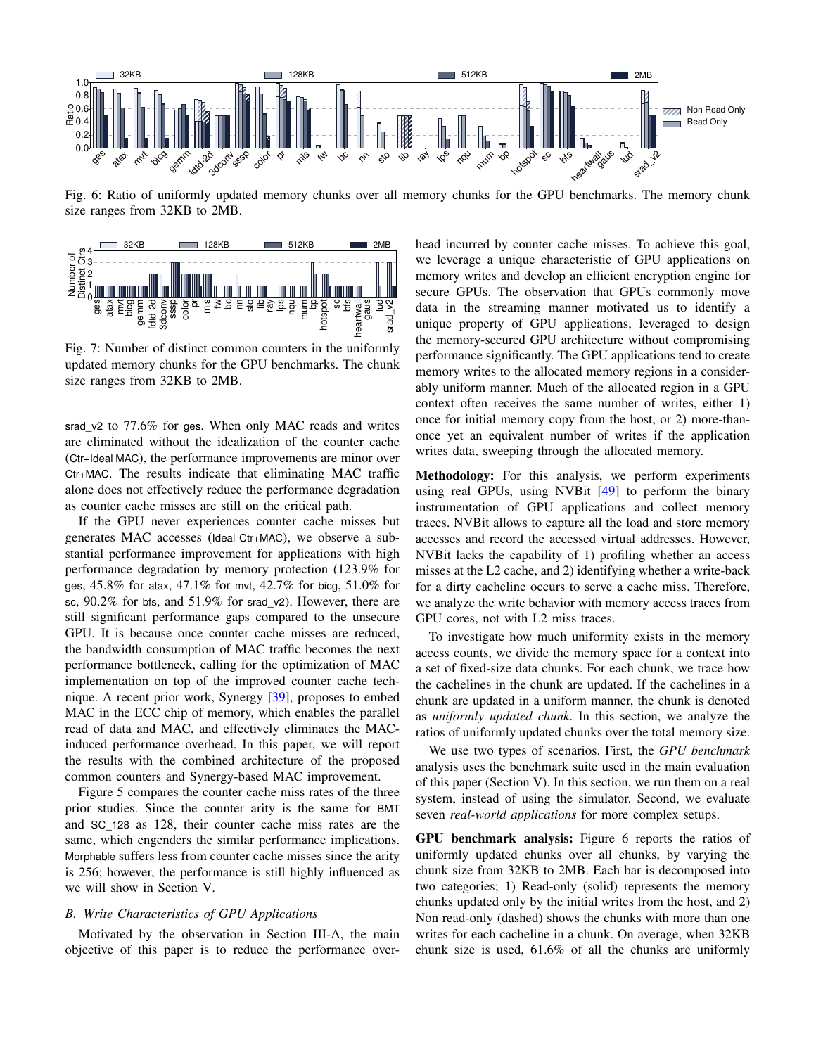

Fig. 6: Ratio of uniformly updated memory chunks over all memory chunks for the GPU benchmarks. The memory chunk size ranges from 32KB to 2MB.



Fig. 7: Number of distinct common counters in the uniformly updated memory chunks for the GPU benchmarks. The chunk size ranges from 32KB to 2MB.

srad\_v2 to 77.6% for ges. When only MAC reads and writes are eliminated without the idealization of the counter cache (Ctr+Ideal MAC), the performance improvements are minor over Ctr+MAC. The results indicate that eliminating MAC traffic alone does not effectively reduce the performance degradation as counter cache misses are still on the critical path.

If the GPU never experiences counter cache misses but generates MAC accesses (Ideal Ctr+MAC), we observe a substantial performance improvement for applications with high performance degradation by memory protection (123.9% for ges, 45.8% for atax, 47.1% for mvt, 42.7% for bicg, 51.0% for sc, 90.2% for bfs, and 51.9% for srad\_v2). However, there are still significant performance gaps compared to the unsecure GPU. It is because once counter cache misses are reduced, the bandwidth consumption of MAC traffic becomes the next performance bottleneck, calling for the optimization of MAC implementation on top of the improved counter cache technique. A recent prior work, Synergy [39], proposes to embed MAC in the ECC chip of memory, which enables the parallel read of data and MAC, and effectively eliminates the MACinduced performance overhead. In this paper, we will report the results with the combined architecture of the proposed common counters and Synergy-based MAC improvement.

Figure 5 compares the counter cache miss rates of the three prior studies. Since the counter arity is the same for BMT and SC\_128 as 128, their counter cache miss rates are the same, which engenders the similar performance implications. Morphable suffers less from counter cache misses since the arity is 256; however, the performance is still highly influenced as we will show in Section V.

## *B. Write Characteristics of GPU Applications*

Motivated by the observation in Section III-A, the main objective of this paper is to reduce the performance over-

 $S<sub>l</sub>$  data in the streaming manner motivated us to identify a unique property of GPU applications, leveraged to design head incurred by counter cache misses. To achieve this goal, we leverage a unique characteristic of GPU applications on memory writes and develop an efficient encryption engine for secure GPUs. The observation that GPUs commonly move unique property of GPU applications, leveraged to design the memory-secured GPU architecture without compromising performance significantly. The GPU applications tend to create memory writes to the allocated memory regions in a considerably uniform manner. Much of the allocated region in a GPU context often receives the same number of writes, either 1) once for initial memory copy from the host, or 2) more-thanonce yet an equivalent number of writes if the application writes data, sweeping through the allocated memory.

Methodology: For this analysis, we perform experiments using real GPUs, using NVBit [49] to perform the binary instrumentation of GPU applications and collect memory traces. NVBit allows to capture all the load and store memory accesses and record the accessed virtual addresses. However, NVBit lacks the capability of 1) profiling whether an access misses at the L2 cache, and 2) identifying whether a write-back for a dirty cacheline occurs to serve a cache miss. Therefore, we analyze the write behavior with memory access traces from GPU cores, not with L2 miss traces.

To investigate how much uniformity exists in the memory access counts, we divide the memory space for a context into a set of fixed-size data chunks. For each chunk, we trace how the cachelines in the chunk are updated. If the cachelines in a chunk are updated in a uniform manner, the chunk is denoted as *uniformly updated chunk*. In this section, we analyze the ratios of uniformly updated chunks over the total memory size.

We use two types of scenarios. First, the *GPU benchmark* analysis uses the benchmark suite used in the main evaluation of this paper (Section V). In this section, we run them on a real system, instead of using the simulator. Second, we evaluate seven *real-world applications* for more complex setups.

GPU benchmark analysis: Figure 6 reports the ratios of uniformly updated chunks over all chunks, by varying the chunk size from 32KB to 2MB. Each bar is decomposed into two categories; 1) Read-only (solid) represents the memory chunks updated only by the initial writes from the host, and 2) Non read-only (dashed) shows the chunks with more than one writes for each cacheline in a chunk. On average, when 32KB chunk size is used, 61.6% of all the chunks are uniformly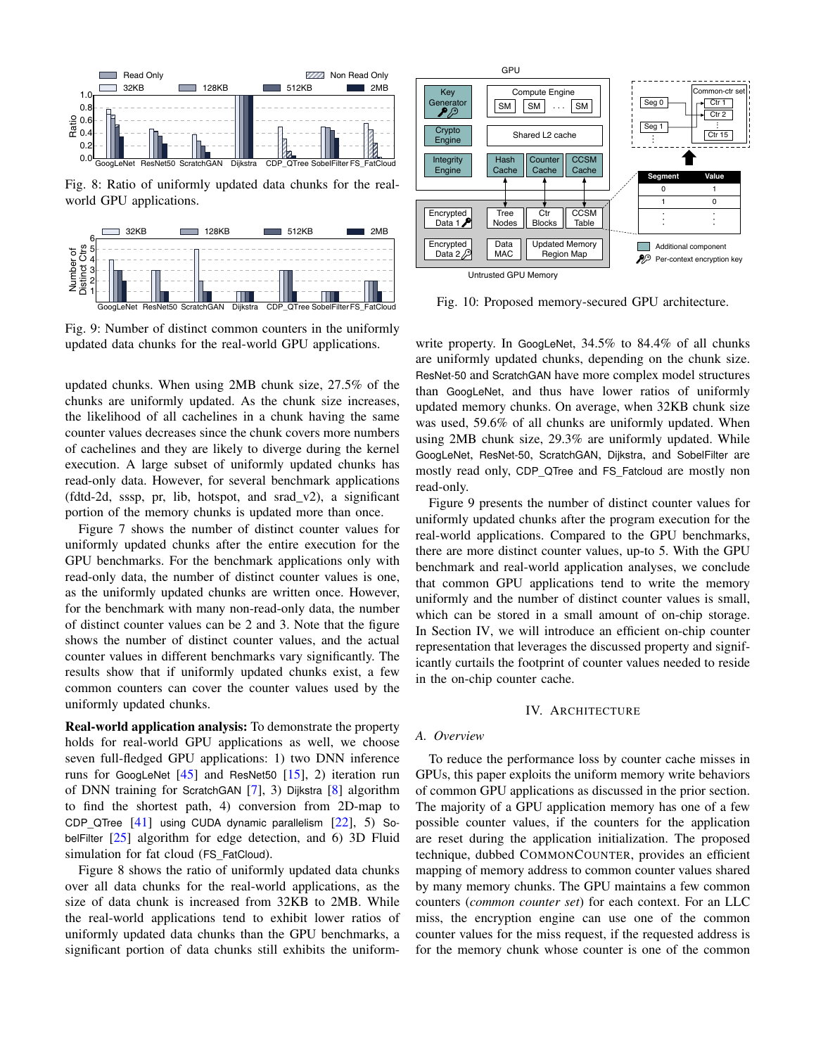

Fig. 8: Ratio of uniformly updated data chunks for the realworld GPU applications.



Fig. 9: Number of distinct common counters in the uniformly updated data chunks for the real-world GPU applications.

updated chunks. When using 2MB chunk size, 27.5% of the chunks are uniformly updated. As the chunk size increases, the likelihood of all cachelines in a chunk having the same counter values decreases since the chunk covers more numbers of cachelines and they are likely to diverge during the kernel execution. A large subset of uniformly updated chunks has read-only data. However, for several benchmark applications (fdtd-2d, sssp, pr, lib, hotspot, and srad\_v2), a significant portion of the memory chunks is updated more than once.

Figure 7 shows the number of distinct counter values for uniformly updated chunks after the entire execution for the GPU benchmarks. For the benchmark applications only with read-only data, the number of distinct counter values is one, as the uniformly updated chunks are written once. However, for the benchmark with many non-read-only data, the number of distinct counter values can be 2 and 3. Note that the figure shows the number of distinct counter values, and the actual counter values in different benchmarks vary significantly. The results show that if uniformly updated chunks exist, a few common counters can cover the counter values used by the uniformly updated chunks.

Real-world application analysis: To demonstrate the property holds for real-world GPU applications as well, we choose seven full-fledged GPU applications: 1) two DNN inference runs for GoogLeNet  $[45]$  and ResNet50  $[15]$ , 2) iteration run of DNN training for ScratchGAN [7], 3) Dijkstra [8] algorithm to find the shortest path, 4) conversion from 2D-map to CDP QTree  $[41]$  using CUDA dynamic parallelism  $[22]$ , 5) SobelFilter [25] algorithm for edge detection, and 6) 3D Fluid simulation for fat cloud (FS FatCloud).

Figure 8 shows the ratio of uniformly updated data chunks over all data chunks for the real-world applications, as the size of data chunk is increased from 32KB to 2MB. While the real-world applications tend to exhibit lower ratios of uniformly updated data chunks than the GPU benchmarks, a significant portion of data chunks still exhibits the uniform-



Fig. 10: Proposed memory-secured GPU architecture.

write property. In GoogLeNet, 34.5% to 84.4% of all chunks are uniformly updated chunks, depending on the chunk size. ResNet-50 and ScratchGAN have more complex model structures than GoogLeNet, and thus have lower ratios of uniformly updated memory chunks. On average, when 32KB chunk size was used, 59.6% of all chunks are uniformly updated. When using 2MB chunk size, 29.3% are uniformly updated. While GoogLeNet, ResNet-50, ScratchGAN, Dijkstra, and SobelFilter are mostly read only, CDP\_QTree and FS\_Fatcloud are mostly non read-only.

Figure 9 presents the number of distinct counter values for uniformly updated chunks after the program execution for the real-world applications. Compared to the GPU benchmarks, there are more distinct counter values, up-to 5. With the GPU benchmark and real-world application analyses, we conclude that common GPU applications tend to write the memory uniformly and the number of distinct counter values is small, which can be stored in a small amount of on-chip storage. In Section IV, we will introduce an efficient on-chip counter representation that leverages the discussed property and significantly curtails the footprint of counter values needed to reside in the on-chip counter cache.

## IV. ARCHITECTURE

# *A. Overview*

To reduce the performance loss by counter cache misses in GPUs, this paper exploits the uniform memory write behaviors of common GPU applications as discussed in the prior section. The majority of a GPU application memory has one of a few possible counter values, if the counters for the application are reset during the application initialization. The proposed technique, dubbed COMMONCOUNTER, provides an efficient mapping of memory address to common counter values shared by many memory chunks. The GPU maintains a few common counters (*common counter set*) for each context. For an LLC miss, the encryption engine can use one of the common counter values for the miss request, if the requested address is for the memory chunk whose counter is one of the common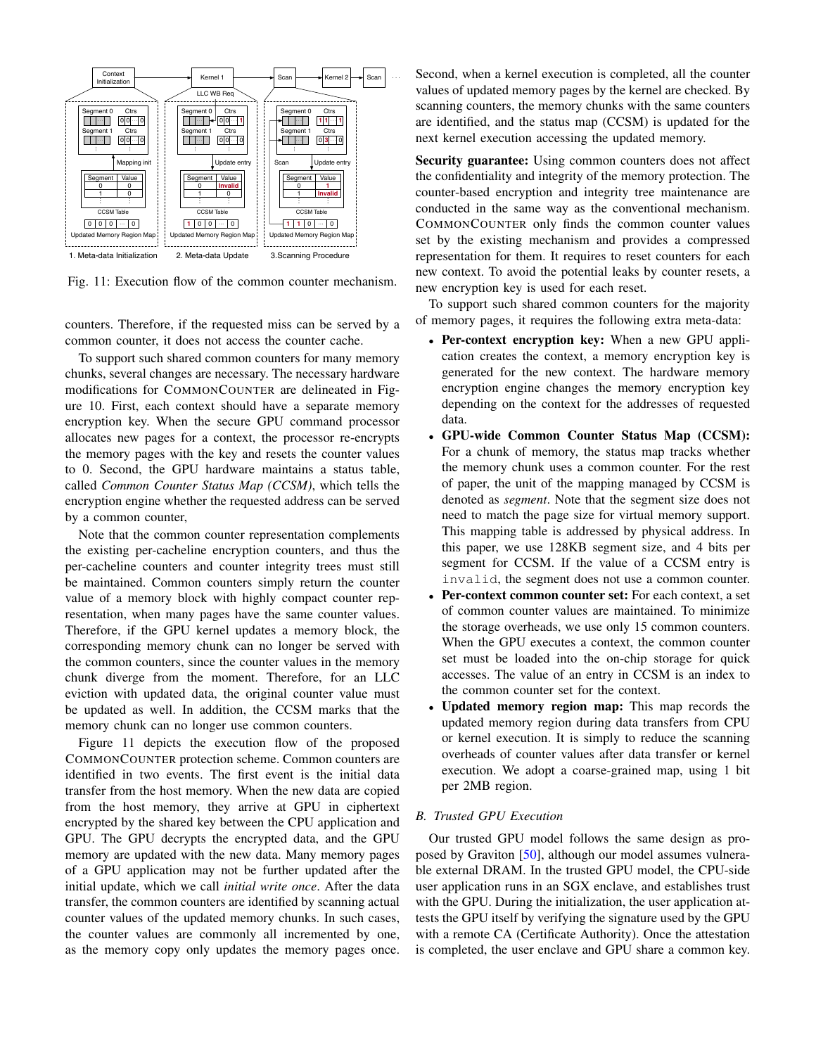

Fig. 11: Execution flow of the common counter mechanism.

counters. Therefore, if the requested miss can be served by a common counter, it does not access the counter cache.

To support such shared common counters for many memory chunks, several changes are necessary. The necessary hardware modifications for COMMONCOUNTER are delineated in Figure 10. First, each context should have a separate memory encryption key. When the secure GPU command processor allocates new pages for a context, the processor re-encrypts the memory pages with the key and resets the counter values to 0. Second, the GPU hardware maintains a status table, called *Common Counter Status Map (CCSM)*, which tells the encryption engine whether the requested address can be served by a common counter,

Note that the common counter representation complements the existing per-cacheline encryption counters, and thus the per-cacheline counters and counter integrity trees must still be maintained. Common counters simply return the counter value of a memory block with highly compact counter representation, when many pages have the same counter values. Therefore, if the GPU kernel updates a memory block, the corresponding memory chunk can no longer be served with the common counters, since the counter values in the memory chunk diverge from the moment. Therefore, for an LLC eviction with updated data, the original counter value must be updated as well. In addition, the CCSM marks that the memory chunk can no longer use common counters.

Figure 11 depicts the execution flow of the proposed COMMONCOUNTER protection scheme. Common counters are identified in two events. The first event is the initial data transfer from the host memory. When the new data are copied from the host memory, they arrive at GPU in ciphertext encrypted by the shared key between the CPU application and GPU. The GPU decrypts the encrypted data, and the GPU memory are updated with the new data. Many memory pages of a GPU application may not be further updated after the initial update, which we call *initial write once*. After the data transfer, the common counters are identified by scanning actual counter values of the updated memory chunks. In such cases, the counter values are commonly all incremented by one, as the memory copy only updates the memory pages once.

Second, when a kernel execution is completed, all the counter values of updated memory pages by the kernel are checked. By scanning counters, the memory chunks with the same counters are identified, and the status map (CCSM) is updated for the next kernel execution accessing the updated memory.

Security guarantee: Using common counters does not affect the confidentiality and integrity of the memory protection. The counter-based encryption and integrity tree maintenance are conducted in the same way as the conventional mechanism. COMMONCOUNTER only finds the common counter values set by the existing mechanism and provides a compressed representation for them. It requires to reset counters for each new context. To avoid the potential leaks by counter resets, a new encryption key is used for each reset.

To support such shared common counters for the majority of memory pages, it requires the following extra meta-data:

- Per-context encryption key: When a new GPU application creates the context, a memory encryption key is generated for the new context. The hardware memory encryption engine changes the memory encryption key depending on the context for the addresses of requested data.
- GPU-wide Common Counter Status Map (CCSM): For a chunk of memory, the status map tracks whether the memory chunk uses a common counter. For the rest of paper, the unit of the mapping managed by CCSM is denoted as *segment*. Note that the segment size does not need to match the page size for virtual memory support. This mapping table is addressed by physical address. In this paper, we use 128KB segment size, and 4 bits per segment for CCSM. If the value of a CCSM entry is invalid, the segment does not use a common counter.
- Per-context common counter set: For each context, a set of common counter values are maintained. To minimize the storage overheads, we use only 15 common counters. When the GPU executes a context, the common counter set must be loaded into the on-chip storage for quick accesses. The value of an entry in CCSM is an index to the common counter set for the context.
- Updated memory region map: This map records the updated memory region during data transfers from CPU or kernel execution. It is simply to reduce the scanning overheads of counter values after data transfer or kernel execution. We adopt a coarse-grained map, using 1 bit per 2MB region.

# *B. Trusted GPU Execution*

Our trusted GPU model follows the same design as proposed by Graviton [50], although our model assumes vulnerable external DRAM. In the trusted GPU model, the CPU-side user application runs in an SGX enclave, and establishes trust with the GPU. During the initialization, the user application attests the GPU itself by verifying the signature used by the GPU with a remote CA (Certificate Authority). Once the attestation is completed, the user enclave and GPU share a common key.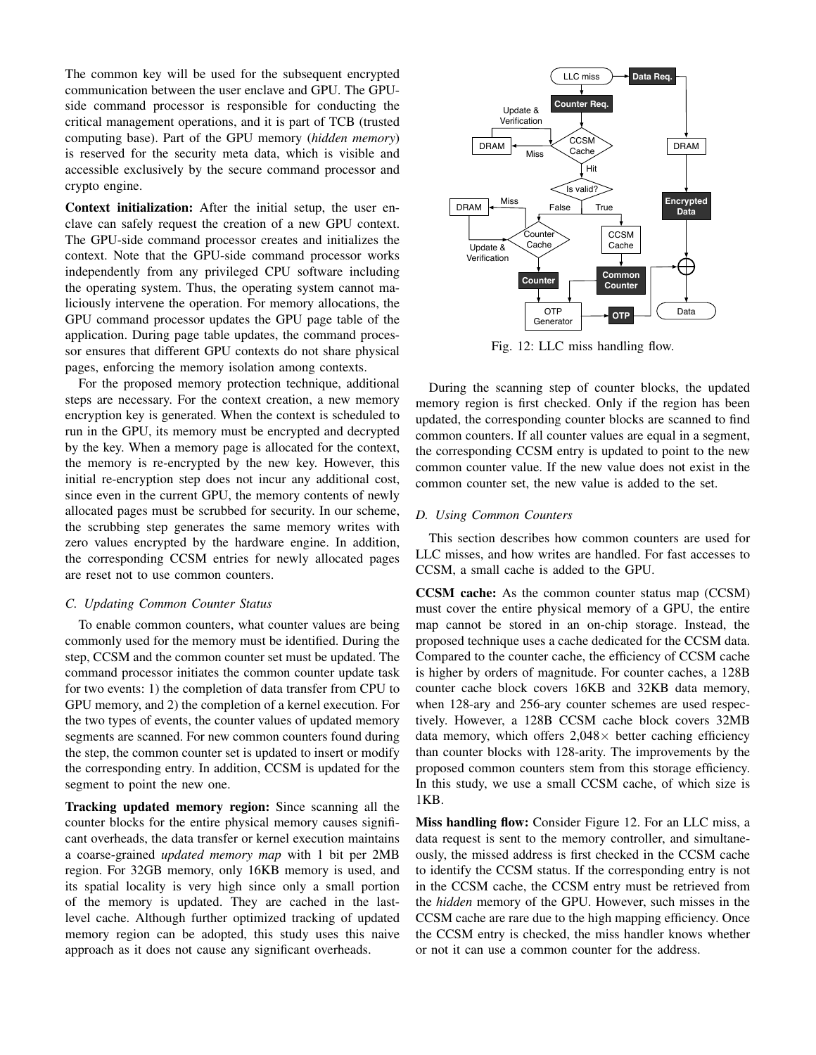The common key will be used for the subsequent encrypted communication between the user enclave and GPU. The GPUside command processor is responsible for conducting the critical management operations, and it is part of TCB (trusted computing base). Part of the GPU memory (*hidden memory*) is reserved for the security meta data, which is visible and accessible exclusively by the secure command processor and crypto engine.

Context initialization: After the initial setup, the user enclave can safely request the creation of a new GPU context. The GPU-side command processor creates and initializes the context. Note that the GPU-side command processor works independently from any privileged CPU software including the operating system. Thus, the operating system cannot maliciously intervene the operation. For memory allocations, the GPU command processor updates the GPU page table of the application. During page table updates, the command processor ensures that different GPU contexts do not share physical pages, enforcing the memory isolation among contexts.

For the proposed memory protection technique, additional steps are necessary. For the context creation, a new memory encryption key is generated. When the context is scheduled to run in the GPU, its memory must be encrypted and decrypted by the key. When a memory page is allocated for the context, the memory is re-encrypted by the new key. However, this initial re-encryption step does not incur any additional cost, since even in the current GPU, the memory contents of newly allocated pages must be scrubbed for security. In our scheme, the scrubbing step generates the same memory writes with zero values encrypted by the hardware engine. In addition, the corresponding CCSM entries for newly allocated pages are reset not to use common counters.

## *C. Updating Common Counter Status*

To enable common counters, what counter values are being commonly used for the memory must be identified. During the step, CCSM and the common counter set must be updated. The command processor initiates the common counter update task for two events: 1) the completion of data transfer from CPU to GPU memory, and 2) the completion of a kernel execution. For the two types of events, the counter values of updated memory segments are scanned. For new common counters found during the step, the common counter set is updated to insert or modify the corresponding entry. In addition, CCSM is updated for the segment to point the new one.

Tracking updated memory region: Since scanning all the counter blocks for the entire physical memory causes significant overheads, the data transfer or kernel execution maintains a coarse-grained *updated memory map* with 1 bit per 2MB region. For 32GB memory, only 16KB memory is used, and its spatial locality is very high since only a small portion of the memory is updated. They are cached in the lastlevel cache. Although further optimized tracking of updated memory region can be adopted, this study uses this naive approach as it does not cause any significant overheads.



Fig. 12: LLC miss handling flow.

During the scanning step of counter blocks, the updated memory region is first checked. Only if the region has been updated, the corresponding counter blocks are scanned to find common counters. If all counter values are equal in a segment, the corresponding CCSM entry is updated to point to the new common counter value. If the new value does not exist in the common counter set, the new value is added to the set.

#### *D. Using Common Counters*

This section describes how common counters are used for LLC misses, and how writes are handled. For fast accesses to CCSM, a small cache is added to the GPU.

CCSM cache: As the common counter status map (CCSM) must cover the entire physical memory of a GPU, the entire map cannot be stored in an on-chip storage. Instead, the proposed technique uses a cache dedicated for the CCSM data. Compared to the counter cache, the efficiency of CCSM cache is higher by orders of magnitude. For counter caches, a 128B counter cache block covers 16KB and 32KB data memory, when 128-ary and 256-ary counter schemes are used respectively. However, a 128B CCSM cache block covers 32MB data memory, which offers  $2,048\times$  better caching efficiency than counter blocks with 128-arity. The improvements by the proposed common counters stem from this storage efficiency. In this study, we use a small CCSM cache, of which size is 1KB.

Miss handling flow: Consider Figure 12. For an LLC miss, a data request is sent to the memory controller, and simultaneously, the missed address is first checked in the CCSM cache to identify the CCSM status. If the corresponding entry is not in the CCSM cache, the CCSM entry must be retrieved from the *hidden* memory of the GPU. However, such misses in the CCSM cache are rare due to the high mapping efficiency. Once the CCSM entry is checked, the miss handler knows whether or not it can use a common counter for the address.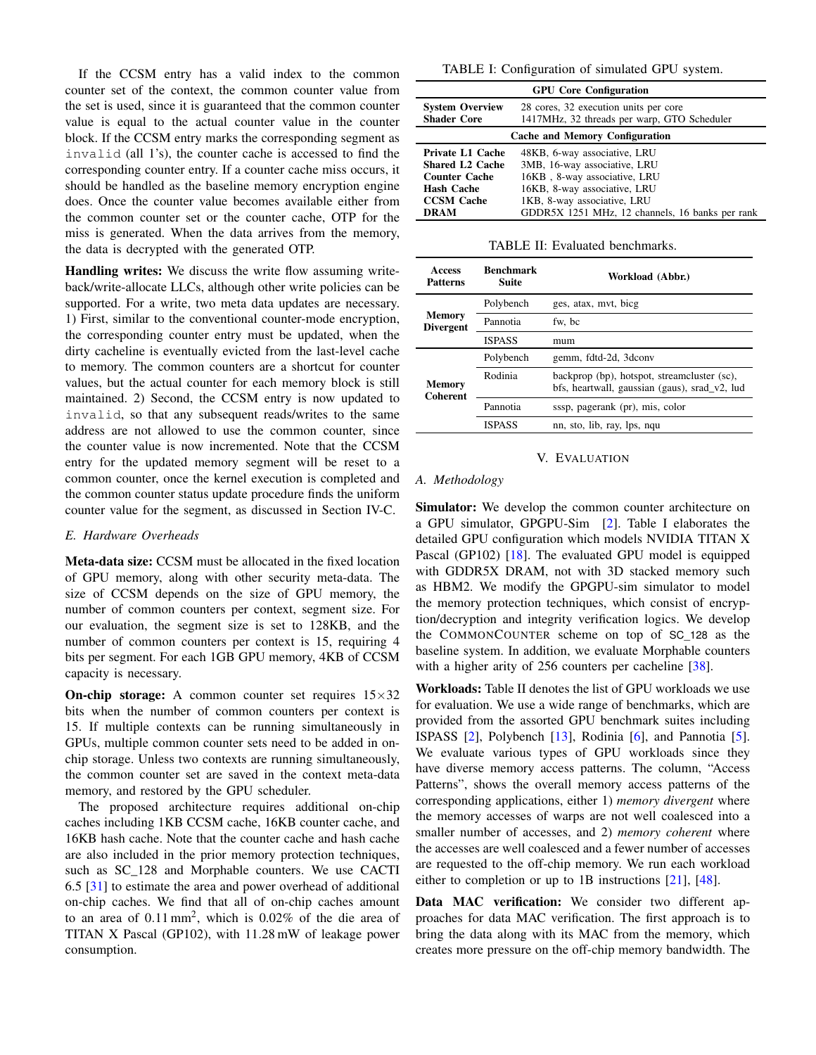If the CCSM entry has a valid index to the common counter set of the context, the common counter value from the set is used, since it is guaranteed that the common counter value is equal to the actual counter value in the counter block. If the CCSM entry marks the corresponding segment as invalid (all 1's), the counter cache is accessed to find the corresponding counter entry. If a counter cache miss occurs, it should be handled as the baseline memory encryption engine does. Once the counter value becomes available either from the common counter set or the counter cache, OTP for the miss is generated. When the data arrives from the memory, the data is decrypted with the generated OTP.

Handling writes: We discuss the write flow assuming writeback/write-allocate LLCs, although other write policies can be supported. For a write, two meta data updates are necessary. 1) First, similar to the conventional counter-mode encryption, the corresponding counter entry must be updated, when the dirty cacheline is eventually evicted from the last-level cache to memory. The common counters are a shortcut for counter values, but the actual counter for each memory block is still maintained. 2) Second, the CCSM entry is now updated to invalid, so that any subsequent reads/writes to the same address are not allowed to use the common counter, since the counter value is now incremented. Note that the CCSM entry for the updated memory segment will be reset to a common counter, once the kernel execution is completed and the common counter status update procedure finds the uniform counter value for the segment, as discussed in Section IV-C.

## *E. Hardware Overheads*

Meta-data size: CCSM must be allocated in the fixed location of GPU memory, along with other security meta-data. The size of CCSM depends on the size of GPU memory, the number of common counters per context, segment size. For our evaluation, the segment size is set to 128KB, and the number of common counters per context is 15, requiring 4 bits per segment. For each 1GB GPU memory, 4KB of CCSM capacity is necessary.

**On-chip storage:** A common counter set requires  $15 \times 32$ bits when the number of common counters per context is 15. If multiple contexts can be running simultaneously in GPUs, multiple common counter sets need to be added in onchip storage. Unless two contexts are running simultaneously, the common counter set are saved in the context meta-data memory, and restored by the GPU scheduler.

The proposed architecture requires additional on-chip caches including 1KB CCSM cache, 16KB counter cache, and 16KB hash cache. Note that the counter cache and hash cache are also included in the prior memory protection techniques, such as SC\_128 and Morphable counters. We use CACTI 6.5 [31] to estimate the area and power overhead of additional on-chip caches. We find that all of on-chip caches amount to an area of  $0.11 \text{ mm}^2$ , which is  $0.02\%$  of the die area of TITAN X Pascal (GP102), with 11.28 mW of leakage power consumption.

TABLE I: Configuration of simulated GPU system.

| <b>GPU Core Configuration</b>                |                                                                                      |  |  |
|----------------------------------------------|--------------------------------------------------------------------------------------|--|--|
| <b>System Overview</b><br><b>Shader Core</b> | 28 cores, 32 execution units per core<br>1417MHz, 32 threads per warp, GTO Scheduler |  |  |
| <b>Cache and Memory Configuration</b>        |                                                                                      |  |  |
| <b>Private L1 Cache</b>                      | 48KB, 6-way associative, LRU                                                         |  |  |
| <b>Shared L2 Cache</b>                       | 3MB, 16-way associative, LRU                                                         |  |  |
| <b>Counter Cache</b>                         | 16KB, 8-way associative, LRU                                                         |  |  |
| Hash Cache                                   | 16KB, 8-way associative, LRU                                                         |  |  |
| <b>CCSM Cache</b>                            | 1KB, 8-way associative, LRU                                                          |  |  |
| <b>DRAM</b>                                  | GDDR5X 1251 MHz, 12 channels, 16 banks per rank                                      |  |  |

TABLE II: Evaluated benchmarks.

| <b>Access</b><br><b>Patterns</b> | Benchmark<br>Suite | Workload (Abbr.)                                                                             |
|----------------------------------|--------------------|----------------------------------------------------------------------------------------------|
| Memory<br><b>Divergent</b>       | Polybench          | ges, atax, myt, bicg                                                                         |
|                                  | Pannotia           | fw. bc                                                                                       |
|                                  | <b>ISPASS</b>      | mum                                                                                          |
| <b>Memory</b><br><b>Coherent</b> | Polybench          | gemm, fdtd-2d, 3dconv                                                                        |
|                                  | Rodinia            | backprop (bp), hotspot, streamcluster (sc),<br>bfs, heartwall, gaussian (gaus), srad v2, lud |
|                                  | Pannotia           | sssp, pagerank (pr), mis, color                                                              |
|                                  | <b>ISPASS</b>      | nn, sto, lib, ray, lps, nqu                                                                  |

#### V. EVALUATION

#### *A. Methodology*

Simulator: We develop the common counter architecture on a GPU simulator, GPGPU-Sim [2]. Table I elaborates the detailed GPU configuration which models NVIDIA TITAN X Pascal (GP102) [18]. The evaluated GPU model is equipped with GDDR5X DRAM, not with 3D stacked memory such as HBM2. We modify the GPGPU-sim simulator to model the memory protection techniques, which consist of encryption/decryption and integrity verification logics. We develop the COMMONCOUNTER scheme on top of SC\_128 as the baseline system. In addition, we evaluate Morphable counters with a higher arity of 256 counters per cacheline [38].

Workloads: Table II denotes the list of GPU workloads we use for evaluation. We use a wide range of benchmarks, which are provided from the assorted GPU benchmark suites including ISPASS [2], Polybench [13], Rodinia [6], and Pannotia [5]. We evaluate various types of GPU workloads since they have diverse memory access patterns. The column, "Access Patterns", shows the overall memory access patterns of the corresponding applications, either 1) *memory divergent* where the memory accesses of warps are not well coalesced into a smaller number of accesses, and 2) *memory coherent* where the accesses are well coalesced and a fewer number of accesses are requested to the off-chip memory. We run each workload either to completion or up to 1B instructions [21], [48].

Data MAC verification: We consider two different approaches for data MAC verification. The first approach is to bring the data along with its MAC from the memory, which creates more pressure on the off-chip memory bandwidth. The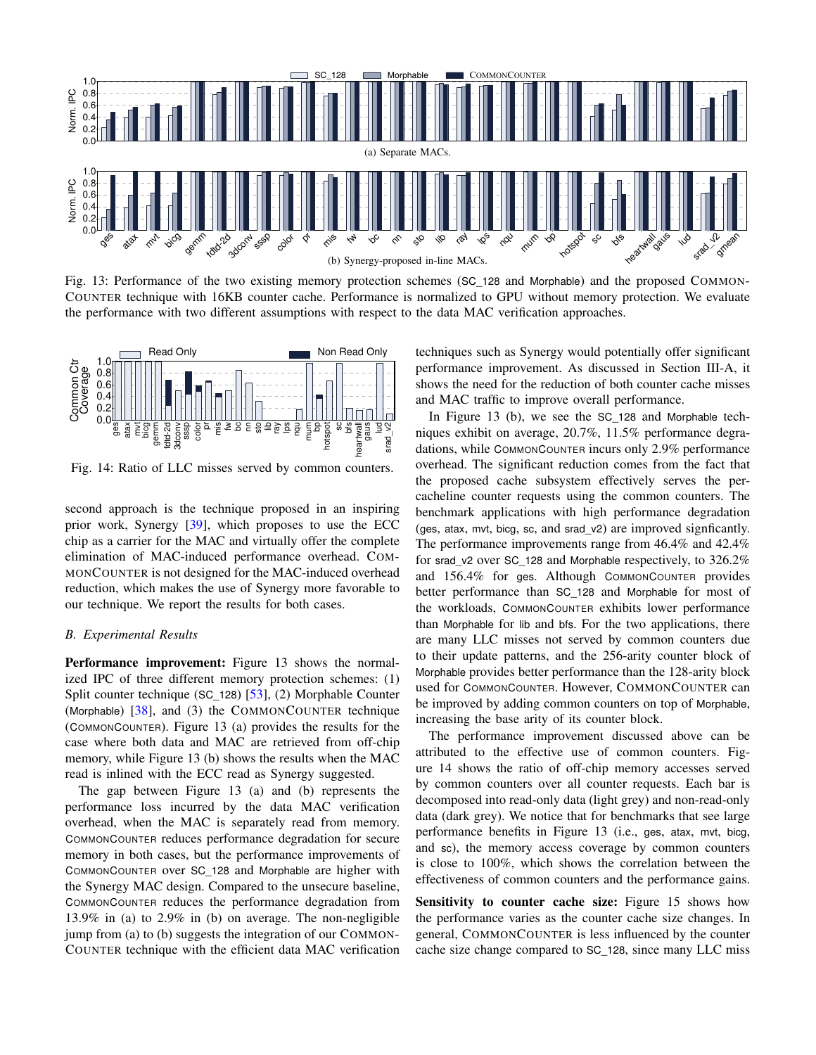

Fig. 13: Performance of the two existing memory protection schemes (SC\_128 and Morphable) and the proposed COMMON-COUNTER technique with 16KB counter cache. Performance is normalized to GPU without memory protection. We evaluate the performance with two different assumptions with respect to the data MAC verification approaches.



Fig. 14: Ratio of LLC misses served by common counters.

second approach is the technique proposed in an inspiring prior work, Synergy [39], which proposes to use the ECC chip as a carrier for the MAC and virtually offer the complete elimination of MAC-induced performance overhead. COM-MONCOUNTER is not designed for the MAC-induced overhead reduction, which makes the use of Synergy more favorable to our technique. We report the results for both cases.

## *B. Experimental Results*

**Performance improvement:** Figure 13 shows the normalized IPC of three different memory protection schemes: (1) Split counter technique (SC\_128) [53], (2) Morphable Counter (Morphable) [38], and (3) the COMMONCOUNTER technique (COMMONCOUNTER). Figure 13 (a) provides the results for the case where both data and MAC are retrieved from off-chip memory, while Figure 13 (b) shows the results when the MAC read is inlined with the ECC read as Synergy suggested.

The gap between Figure 13 (a) and (b) represents the performance loss incurred by the data MAC verification overhead, when the MAC is separately read from memory. COMMONCOUNTER reduces performance degradation for secure memory in both cases, but the performance improvements of COMMONCOUNTER over SC\_128 and Morphable are higher with the Synergy MAC design. Compared to the unsecure baseline, COMMONCOUNTER reduces the performance degradation from 13.9% in (a) to 2.9% in (b) on average. The non-negligible jump from (a) to (b) suggests the integration of our COMMON-COUNTER technique with the efficient data MAC verification

techniques such as Synergy would potentially offer significant performance improvement. As discussed in Section III-A, it shows the need for the reduction of both counter cache misses and MAC traffic to improve overall performance.

niques exhibit on average, 20.7%,  $11.5\%$  performance degradations, while COMMONCOUNTER incurs only 2.9% performance In Figure 13 (b), we see the SC\_128 and Morphable techdations, while COMMONCOUNTER incurs only 2.9% performance overhead. The significant reduction comes from the fact that the proposed cache subsystem effectively serves the percacheline counter requests using the common counters. The benchmark applications with high performance degradation (ges, atax, mvt, bicg, sc, and srad\_v2) are improved signficantly. The performance improvements range from 46.4% and 42.4% for srad\_v2 over SC\_128 and Morphable respectively, to 326.2% and 156.4% for ges. Although COMMONCOUNTER provides better performance than SC\_128 and Morphable for most of the workloads, COMMONCOUNTER exhibits lower performance than Morphable for lib and bfs. For the two applications, there are many LLC misses not served by common counters due to their update patterns, and the 256-arity counter block of Morphable provides better performance than the 128-arity block used for COMMONCOUNTER. However, COMMONCOUNTER can be improved by adding common counters on top of Morphable, increasing the base arity of its counter block.

The performance improvement discussed above can be attributed to the effective use of common counters. Figure 14 shows the ratio of off-chip memory accesses served by common counters over all counter requests. Each bar is decomposed into read-only data (light grey) and non-read-only data (dark grey). We notice that for benchmarks that see large performance benefits in Figure 13 (i.e., ges, atax, mvt, bicg, and sc), the memory access coverage by common counters is close to 100%, which shows the correlation between the effectiveness of common counters and the performance gains.

Sensitivity to counter cache size: Figure 15 shows how the performance varies as the counter cache size changes. In general, COMMONCOUNTER is less influenced by the counter cache size change compared to SC\_128, since many LLC miss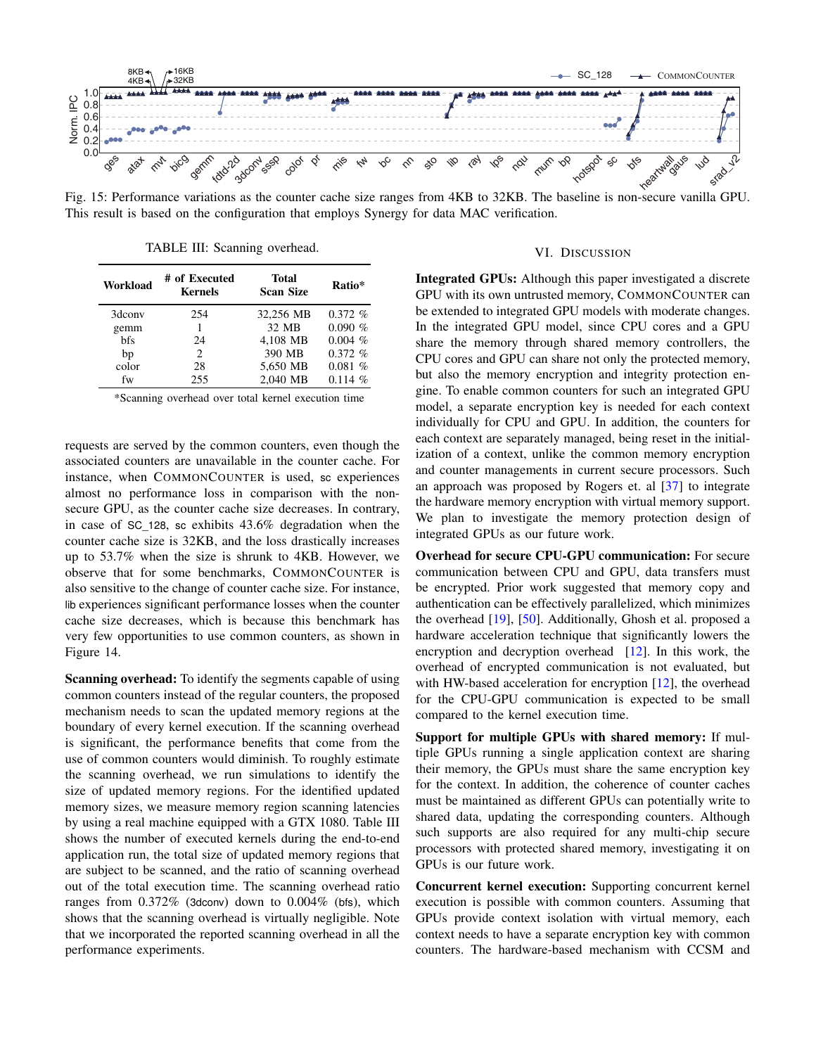

Fig. 15: Performance variations as the counter cache size ranges from 4KB to 32KB. The baseline is non-secure vanilla GPU. This result is based on the configuration that employs Synergy for data MAC verification.

TABLE III: Scanning overhead.

| Workload   | # of Executed<br><b>Kernels</b> | Total<br><b>Scan Size</b> | Ratio*    |
|------------|---------------------------------|---------------------------|-----------|
| 3dconv     | 254                             | 32,256 MB                 | $0.372\%$ |
| gemm       |                                 | 32 MB                     | 0.090~%   |
| <b>bfs</b> | 24                              | 4.108 MB                  | 0.004~%   |
| bp         | $\mathfrak{D}_{\mathfrak{p}}$   | 390 MB                    | $0.372\%$ |
| color      | 28                              | 5,650 MB                  | 0.081%    |
| fw         | 255                             | 2.040 MB                  | $0.114\%$ |

\*Scanning overhead over total kernel execution time

requests are served by the common counters, even though the associated counters are unavailable in the counter cache. For instance, when COMMONCOUNTER is used, sc experiences almost no performance loss in comparison with the nonsecure GPU, as the counter cache size decreases. In contrary, in case of SC\_128, sc exhibits 43.6% degradation when the counter cache size is 32KB, and the loss drastically increases up to 53.7% when the size is shrunk to 4KB. However, we observe that for some benchmarks, COMMONCOUNTER is also sensitive to the change of counter cache size. For instance, lib experiences significant performance losses when the counter cache size decreases, which is because this benchmark has very few opportunities to use common counters, as shown in Figure 14.

Scanning overhead: To identify the segments capable of using common counters instead of the regular counters, the proposed mechanism needs to scan the updated memory regions at the boundary of every kernel execution. If the scanning overhead is significant, the performance benefits that come from the use of common counters would diminish. To roughly estimate the scanning overhead, we run simulations to identify the size of updated memory regions. For the identified updated memory sizes, we measure memory region scanning latencies by using a real machine equipped with a GTX 1080. Table III shows the number of executed kernels during the end-to-end application run, the total size of updated memory regions that are subject to be scanned, and the ratio of scanning overhead out of the total execution time. The scanning overhead ratio ranges from  $0.372\%$  (3dconv) down to  $0.004\%$  (bfs), which shows that the scanning overhead is virtually negligible. Note that we incorporated the reported scanning overhead in all the performance experiments.

### VI. DISCUSSION

Integrated GPUs: Although this paper investigated a discrete GPU with its own untrusted memory, COMMONCOUNTER can be extended to integrated GPU models with moderate changes. In the integrated GPU model, since CPU cores and a GPU share the memory through shared memory controllers, the CPU cores and GPU can share not only the protected memory, but also the memory encryption and integrity protection engine. To enable common counters for such an integrated GPU model, a separate encryption key is needed for each context individually for CPU and GPU. In addition, the counters for each context are separately managed, being reset in the initialization of a context, unlike the common memory encryption and counter managements in current secure processors. Such an approach was proposed by Rogers et. al [37] to integrate the hardware memory encryption with virtual memory support. We plan to investigate the memory protection design of integrated GPUs as our future work.

Overhead for secure CPU-GPU communication: For secure communication between CPU and GPU, data transfers must be encrypted. Prior work suggested that memory copy and authentication can be effectively parallelized, which minimizes the overhead [19], [50]. Additionally, Ghosh et al. proposed a hardware acceleration technique that significantly lowers the encryption and decryption overhead  $[12]$ . In this work, the overhead of encrypted communication is not evaluated, but with HW-based acceleration for encryption [12], the overhead for the CPU-GPU communication is expected to be small compared to the kernel execution time.

Support for multiple GPUs with shared memory: If multiple GPUs running a single application context are sharing their memory, the GPUs must share the same encryption key for the context. In addition, the coherence of counter caches must be maintained as different GPUs can potentially write to shared data, updating the corresponding counters. Although such supports are also required for any multi-chip secure processors with protected shared memory, investigating it on GPUs is our future work.

Concurrent kernel execution: Supporting concurrent kernel execution is possible with common counters. Assuming that GPUs provide context isolation with virtual memory, each context needs to have a separate encryption key with common counters. The hardware-based mechanism with CCSM and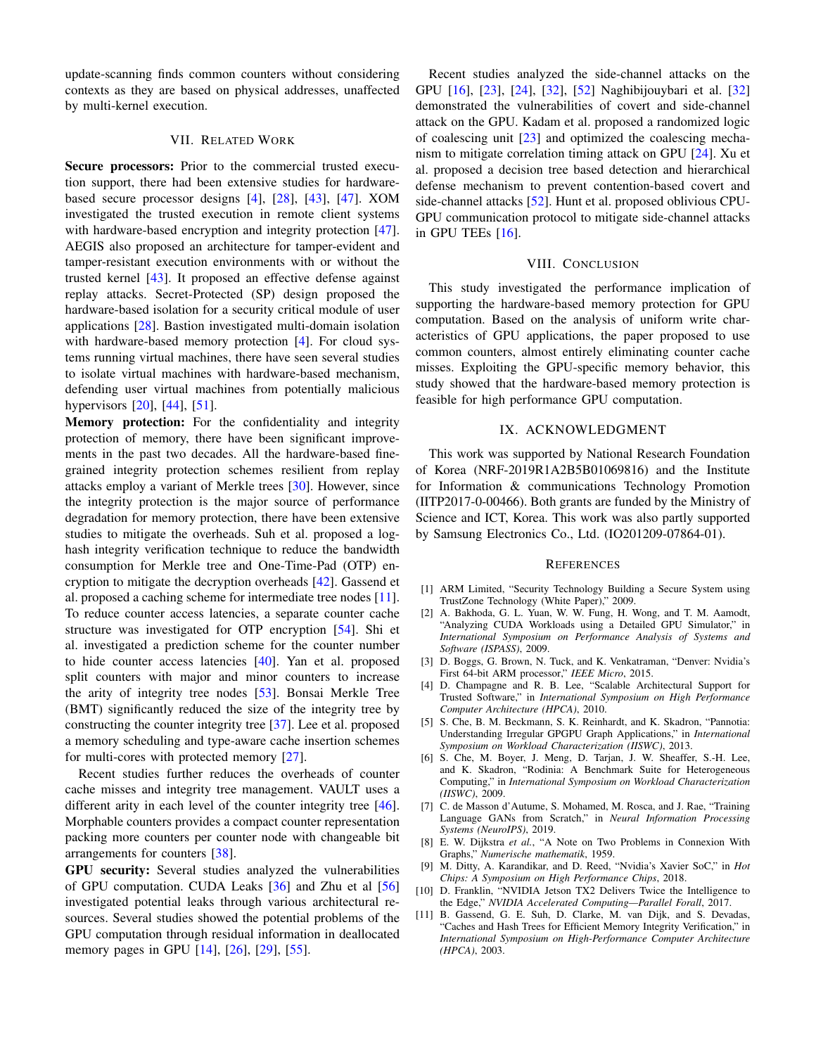update-scanning finds common counters without considering contexts as they are based on physical addresses, unaffected by multi-kernel execution.

## VII. RELATED WORK

Secure processors: Prior to the commercial trusted execution support, there had been extensive studies for hardwarebased secure processor designs [4], [28], [43], [47]. XOM investigated the trusted execution in remote client systems with hardware-based encryption and integrity protection [47]. AEGIS also proposed an architecture for tamper-evident and tamper-resistant execution environments with or without the trusted kernel [43]. It proposed an effective defense against replay attacks. Secret-Protected (SP) design proposed the hardware-based isolation for a security critical module of user applications [28]. Bastion investigated multi-domain isolation with hardware-based memory protection [4]. For cloud systems running virtual machines, there have seen several studies to isolate virtual machines with hardware-based mechanism, defending user virtual machines from potentially malicious hypervisors [20], [44], [51].

Memory protection: For the confidentiality and integrity protection of memory, there have been significant improvements in the past two decades. All the hardware-based finegrained integrity protection schemes resilient from replay attacks employ a variant of Merkle trees [30]. However, since the integrity protection is the major source of performance degradation for memory protection, there have been extensive studies to mitigate the overheads. Suh et al. proposed a loghash integrity verification technique to reduce the bandwidth consumption for Merkle tree and One-Time-Pad (OTP) encryption to mitigate the decryption overheads [42]. Gassend et al. proposed a caching scheme for intermediate tree nodes [11]. To reduce counter access latencies, a separate counter cache structure was investigated for OTP encryption [54]. Shi et al. investigated a prediction scheme for the counter number to hide counter access latencies [40]. Yan et al. proposed split counters with major and minor counters to increase the arity of integrity tree nodes [53]. Bonsai Merkle Tree (BMT) significantly reduced the size of the integrity tree by constructing the counter integrity tree [37]. Lee et al. proposed a memory scheduling and type-aware cache insertion schemes for multi-cores with protected memory [27].

Recent studies further reduces the overheads of counter cache misses and integrity tree management. VAULT uses a different arity in each level of the counter integrity tree [46]. Morphable counters provides a compact counter representation packing more counters per counter node with changeable bit arrangements for counters [38].

GPU security: Several studies analyzed the vulnerabilities of GPU computation. CUDA Leaks [36] and Zhu et al [56] investigated potential leaks through various architectural resources. Several studies showed the potential problems of the GPU computation through residual information in deallocated memory pages in GPU [14], [26], [29], [55].

Recent studies analyzed the side-channel attacks on the GPU [16], [23], [24], [32], [52] Naghibijouybari et al. [32] demonstrated the vulnerabilities of covert and side-channel attack on the GPU. Kadam et al. proposed a randomized logic of coalescing unit [23] and optimized the coalescing mechanism to mitigate correlation timing attack on GPU [24]. Xu et al. proposed a decision tree based detection and hierarchical defense mechanism to prevent contention-based covert and side-channel attacks [52]. Hunt et al. proposed oblivious CPU-GPU communication protocol to mitigate side-channel attacks in GPU TEEs [16].

# VIII. CONCLUSION

This study investigated the performance implication of supporting the hardware-based memory protection for GPU computation. Based on the analysis of uniform write characteristics of GPU applications, the paper proposed to use common counters, almost entirely eliminating counter cache misses. Exploiting the GPU-specific memory behavior, this study showed that the hardware-based memory protection is feasible for high performance GPU computation.

#### IX. ACKNOWLEDGMENT

This work was supported by National Research Foundation of Korea (NRF-2019R1A2B5B01069816) and the Institute for Information & communications Technology Promotion (IITP2017-0-00466). Both grants are funded by the Ministry of Science and ICT, Korea. This work was also partly supported by Samsung Electronics Co., Ltd. (IO201209-07864-01).

#### **REFERENCES**

- [1] ARM Limited, "Security Technology Building a Secure System using TrustZone Technology (White Paper)," 2009.
- [2] A. Bakhoda, G. L. Yuan, W. W. Fung, H. Wong, and T. M. Aamodt, "Analyzing CUDA Workloads using a Detailed GPU Simulator," in *International Symposium on Performance Analysis of Systems and Software (ISPASS)*, 2009.
- [3] D. Boggs, G. Brown, N. Tuck, and K. Venkatraman, "Denver: Nvidia's First 64-bit ARM processor," *IEEE Micro*, 2015.
- [4] D. Champagne and R. B. Lee, "Scalable Architectural Support for Trusted Software," in *International Symposium on High Performance Computer Architecture (HPCA)*, 2010.
- [5] S. Che, B. M. Beckmann, S. K. Reinhardt, and K. Skadron, "Pannotia: Understanding Irregular GPGPU Graph Applications," in *International Symposium on Workload Characterization (IISWC)*, 2013.
- [6] S. Che, M. Boyer, J. Meng, D. Tarjan, J. W. Sheaffer, S.-H. Lee, and K. Skadron, "Rodinia: A Benchmark Suite for Heterogeneous Computing," in *International Symposium on Workload Characterization (IISWC)*, 2009.
- [7] C. de Masson d'Autume, S. Mohamed, M. Rosca, and J. Rae, "Training Language GANs from Scratch," in *Neural Information Processing Systems (NeuroIPS)*, 2019.
- [8] E. W. Dijkstra *et al.*, "A Note on Two Problems in Connexion With Graphs," *Numerische mathematik*, 1959.
- [9] M. Ditty, A. Karandikar, and D. Reed, "Nvidia's Xavier SoC," in *Hot Chips: A Symposium on High Performance Chips*, 2018.
- [10] D. Franklin, "NVIDIA Jetson TX2 Delivers Twice the Intelligence to the Edge," *NVIDIA Accelerated Computing—Parallel Forall*, 2017.
- [11] B. Gassend, G. E. Suh, D. Clarke, M. van Dijk, and S. Devadas, "Caches and Hash Trees for Efficient Memory Integrity Verification," in *International Symposium on High-Performance Computer Architecture (HPCA)*, 2003.